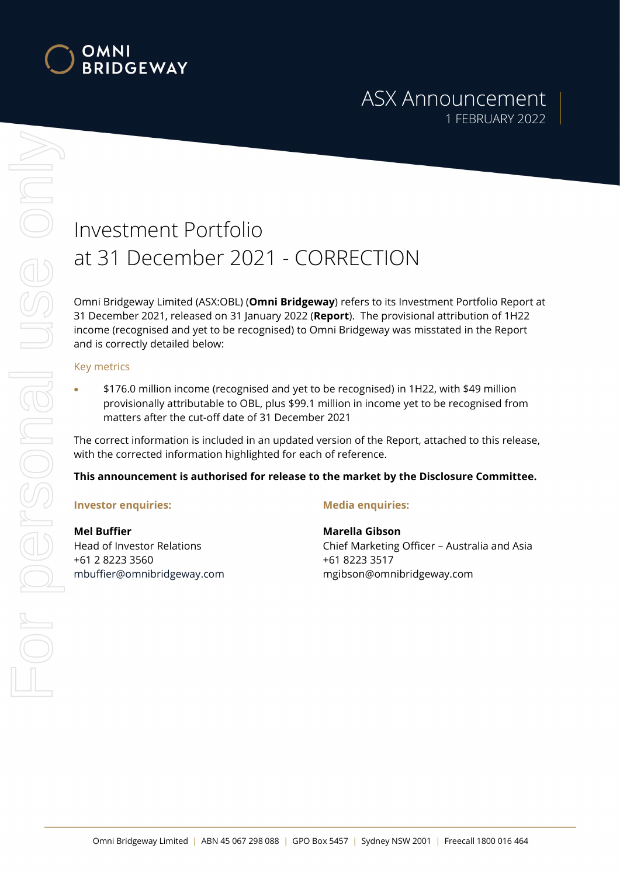

# ASX Announcement 1 FEBRUARY 2022

# Investment Portfolio at 31 December 2021 - CORRECTION

Omni Bridgeway Limited (ASX:OBL) (Omni Bridgeway) refers to its Investment Portfolio Report at 31 December 2021, released on 31 January 2022 (Report). The provisional attribution of 1H22 income (recognised and yet to be recognised) to Omni Bridgeway was misstated in the Report and is correctly detailed below:

#### Key metrics

 \$176.0 million income (recognised and yet to be recognised) in 1H22, with \$49 million provisionally attributable to OBL, plus \$99.1 million in income yet to be recognised from matters after the cut-off date of 31 December 2021

The correct information is included in an updated version of the Report, attached to this release, with the corrected information highlighted for each of reference.

### This announcement is authorised for release to the market by the Disclosure Committee.

### Investor enquiries:

Mel Buffier Head of Investor Relations +61 2 8223 3560 mbuffier@omnibridgeway.com

### Media enquiries:

Marella Gibson Chief Marketing Officer – Australia and Asia +61 8223 3517 mgibson@omnibridgeway.com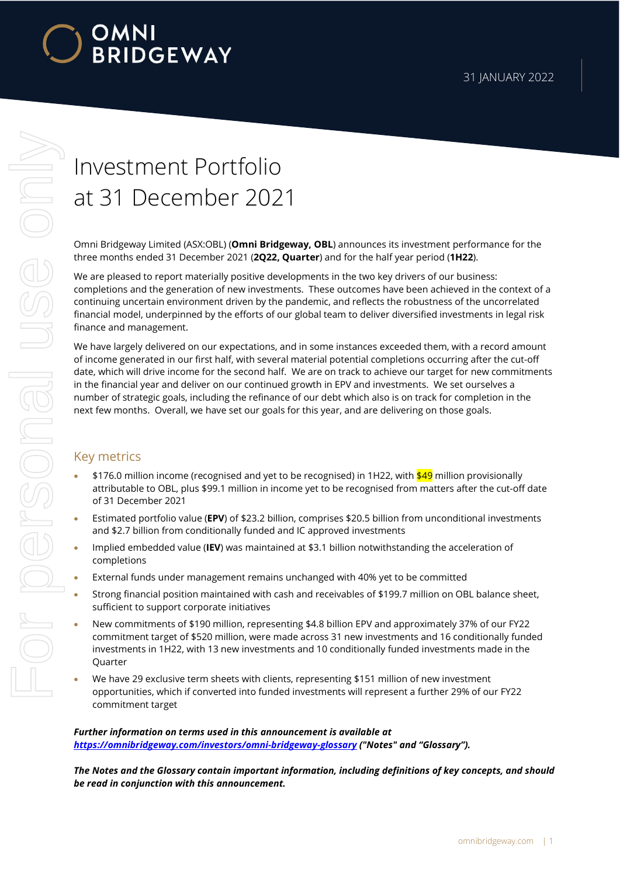

# For personal use only Or personal use onn

# Investment Portfolio at 31 December 2021

Omni Bridgeway Limited (ASX:OBL) (Omni Bridgeway, OBL) announces its investment performance for the three months ended 31 December 2021 (2Q22, Quarter) and for the half year period (1H22).

We are pleased to report materially positive developments in the two key drivers of our business: completions and the generation of new investments. These outcomes have been achieved in the context of a continuing uncertain environment driven by the pandemic, and reflects the robustness of the uncorrelated financial model, underpinned by the efforts of our global team to deliver diversified investments in legal risk finance and management.

We have largely delivered on our expectations, and in some instances exceeded them, with a record amount of income generated in our first half, with several material potential completions occurring after the cut-off date, which will drive income for the second half. We are on track to achieve our target for new commitments in the financial year and deliver on our continued growth in EPV and investments. We set ourselves a number of strategic goals, including the refinance of our debt which also is on track for completion in the next few months. Overall, we have set our goals for this year, and are delivering on those goals.

# Key metrics

- \$176.0 million income (recognised and yet to be recognised) in 1H22, with \$49 million provisionally attributable to OBL, plus \$99.1 million in income yet to be recognised from matters after the cut-off date of 31 December 2021
- **Estimated portfolio value (EPV)** of \$23.2 billion, comprises \$20.5 billion from unconditional investments and \$2.7 billion from conditionally funded and IC approved investments
- Implied embedded value (IEV) was maintained at \$3.1 billion notwithstanding the acceleration of completions
- External funds under management remains unchanged with 40% yet to be committed
- Strong financial position maintained with cash and receivables of \$199.7 million on OBL balance sheet, sufficient to support corporate initiatives
- New commitments of \$190 million, representing \$4.8 billion EPV and approximately 37% of our FY22 commitment target of \$520 million, were made across 31 new investments and 16 conditionally funded investments in 1H22, with 13 new investments and 10 conditionally funded investments made in the **Ouarter**
- We have 29 exclusive term sheets with clients, representing \$151 million of new investment opportunities, which if converted into funded investments will represent a further 29% of our FY22 commitment target

Further information on terms used in this announcement is available at https://omnibridgeway.com/investors/omni-bridgeway-glossary ("Notes" and "Glossary").

The Notes and the Glossary contain important information, including definitions of key concepts, and should be read in conjunction with this announcement.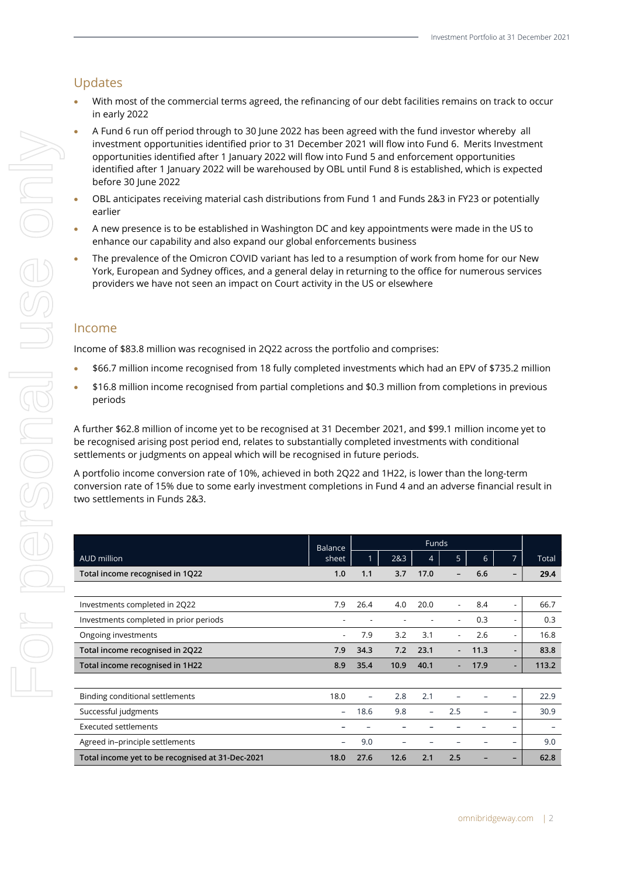# Updates

- With most of the commercial terms agreed, the refinancing of our debt facilities remains on track to occur in early 2022
- A Fund 6 run off period through to 30 June 2022 has been agreed with the fund investor whereby all investment opportunities identified prior to 31 December 2021 will flow into Fund 6. Merits Investment opportunities identified after 1 January 2022 will flow into Fund 5 and enforcement opportunities identified after 1 January 2022 will be warehoused by OBL until Fund 8 is established, which is expected before 30 June 2022
- OBL anticipates receiving material cash distributions from Fund 1 and Funds 2&3 in FY23 or potentially earlier
- A new presence is to be established in Washington DC and key appointments were made in the US to enhance our capability and also expand our global enforcements business
- The prevalence of the Omicron COVID variant has led to a resumption of work from home for our New York, European and Sydney offices, and a general delay in returning to the office for numerous services providers we have not seen an impact on Court activity in the US or elsewhere

## Income

Income of \$83.8 million was recognised in 2Q22 across the portfolio and comprises:

- \$66.7 million income recognised from 18 fully completed investments which had an EPV of \$735.2 million
- \$16.8 million income recognised from partial completions and \$0.3 million from completions in previous periods

A further \$62.8 million of income yet to be recognised at 31 December 2021, and \$99.1 million income yet to be recognised arising post period end, relates to substantially completed investments with conditional settlements or judgments on appeal which will be recognised in future periods.

A portfolio income conversion rate of 10%, achieved in both 2Q22 and 1H22, is lower than the long-term conversion rate of 15% due to some early investment completions in Fund 4 and an adverse financial result in two settlements in Funds 2&3.

|                                                  | Balance                  | <b>Funds</b>      |      |                          |                          |      |                          |                          |
|--------------------------------------------------|--------------------------|-------------------|------|--------------------------|--------------------------|------|--------------------------|--------------------------|
| AUD million                                      | sheet                    |                   | 2&3  | 4                        | 5                        | 6    | 7                        | Total                    |
| Total income recognised in 1Q22                  | 1.0                      | 1.1               | 3.7  | 17.0                     |                          | 6.6  |                          | 29.4                     |
|                                                  |                          |                   |      |                          |                          |      |                          |                          |
| Investments completed in 2Q22                    | 7.9                      | 26.4              | 4.0  | 20.0                     | $\overline{\phantom{a}}$ | 8.4  | $\overline{\phantom{a}}$ | 66.7                     |
| Investments completed in prior periods           |                          |                   |      |                          |                          | 0.3  | $\overline{\phantom{a}}$ | 0.3                      |
| Ongoing investments                              |                          | 7.9               | 3.2  | 3.1                      | $\overline{\phantom{a}}$ | 2.6  | $\overline{\phantom{a}}$ | 16.8                     |
| Total income recognised in 2Q22                  | 7.9                      | 34.3              | 7.2  | 23.1                     | $\overline{\phantom{0}}$ | 11.3 | $\blacksquare$           | 83.8                     |
| Total income recognised in 1H22                  | 8.9                      | 35.4              | 10.9 | 40.1                     |                          | 17.9 | ٠                        | 113.2                    |
|                                                  |                          |                   |      |                          |                          |      |                          |                          |
| Binding conditional settlements                  | 18.0                     | $\qquad \qquad -$ | 2.8  | 2.1                      |                          |      |                          | 22.9                     |
| Successful judgments                             | $\overline{\phantom{0}}$ | 18.6              | 9.8  | $\overline{\phantom{a}}$ | 2.5                      |      | -                        | 30.9                     |
| <b>Executed settlements</b>                      |                          |                   |      |                          |                          |      |                          | $\overline{\phantom{m}}$ |
| Agreed in-principle settlements                  | $\qquad \qquad$          | 9.0               |      |                          |                          |      | -                        | 9.0                      |
| Total income yet to be recognised at 31-Dec-2021 | 18.0                     | 27.6              | 12.6 | 2.1                      | 2.5                      |      |                          | 62.8                     |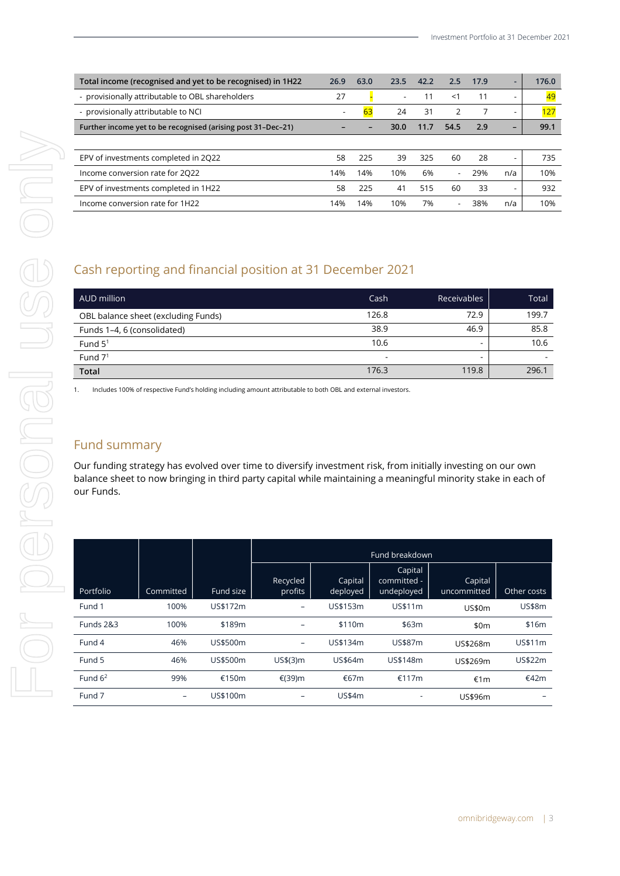| Total income (recognised and yet to be recognised) in 1H22   | 26.9                     | 63.0 | 23.5 | 42.2 | 2.5                      | 17.9 | -                        | 176.0 |
|--------------------------------------------------------------|--------------------------|------|------|------|--------------------------|------|--------------------------|-------|
| - provisionally attributable to OBL shareholders             | 27                       |      |      | 11   | $<$ 1                    | 11   | $\overline{\phantom{a}}$ | 49    |
| - provisionally attributable to NCI                          | $\overline{\phantom{a}}$ | 63   | 24   | 31   | $\mathcal{P}$            |      | $\overline{\phantom{a}}$ | 127   |
| Further income yet to be recognised (arising post 31-Dec-21) |                          |      | 30.0 | 11.7 | 54.5                     | 2.9  | $\overline{\phantom{0}}$ | 99.1  |
|                                                              |                          |      |      |      |                          |      |                          |       |
| EPV of investments completed in 2022                         | 58                       | 225  | 39   | 325  | 60                       | 28   | $\overline{\phantom{a}}$ | 735   |
| Income conversion rate for 2022                              | 14%                      | 14%  | 10%  | 6%   | $\overline{\phantom{0}}$ | 29%  | n/a                      | 10%   |
| EPV of investments completed in 1H22                         | 58                       | 225  | 41   | 515  | 60                       | 33   |                          | 932   |
| Income conversion rate for 1H22                              | 14%                      | 14%  | 10%  | 7%   | $\overline{\phantom{a}}$ | 38%  | n/a                      | 10%   |

# Cash reporting and financial position at 31 December 2021

| AUD million                         | Cash                     | <b>Receivables</b> | Total |
|-------------------------------------|--------------------------|--------------------|-------|
| OBL balance sheet (excluding Funds) | 126.8                    | 72.9               | 199.7 |
| Funds 1-4, 6 (consolidated)         | 38.9                     | 46.9               | 85.8  |
| Fund $51$                           | 10.6                     |                    | 10.6  |
| Fund $71$                           | $\overline{\phantom{a}}$ |                    |       |
| <b>Total</b>                        | 176.3                    | 119.8              | 296.1 |

1. Includes 100% of respective Fund's holding including amount attributable to both OBL and external investors.

# Fund summary

Our funding strategy has evolved over time to diversify investment risk, from initially investing on our own balance sheet to now bringing in third party capital while maintaining a meaningful minority stake in each of our Funds.

|            |                   |           | Fund breakdown           |                     |                                      |                        |                          |  |  |  |
|------------|-------------------|-----------|--------------------------|---------------------|--------------------------------------|------------------------|--------------------------|--|--|--|
| Portfolio  | Committed         | Fund size | Recycled<br>profits      | Capital<br>deployed | Capital<br>committed -<br>undeployed | Capital<br>uncommitted | Other costs              |  |  |  |
| Fund 1     | 100%              | US\$172m  | -                        | US\$153m            | US\$11m                              | <b>US\$0m</b>          | <b>US\$8m</b>            |  |  |  |
| Funds 2&3  | 100%              | \$189m    | $\overline{\phantom{0}}$ | \$110m              | \$63m                                | \$0m                   | \$16m                    |  |  |  |
| Fund 4     | 46%               | US\$500m  | -                        | US\$134m            | US\$87m                              | US\$268m               | US\$11m                  |  |  |  |
| Fund 5     | 46%               | US\$500m  | US\$(3) m                | US\$64m             | US\$148m                             | US\$269m               | US\$22m                  |  |  |  |
| Fund $6^2$ | 99%               | €150m     | €(39)m                   | €67m                | €117m                                | €1m                    | €42m                     |  |  |  |
| Fund 7     | $\qquad \qquad -$ | US\$100m  |                          | <b>US\$4m</b>       | $\overline{\phantom{a}}$             | US\$96m                | $\overline{\phantom{0}}$ |  |  |  |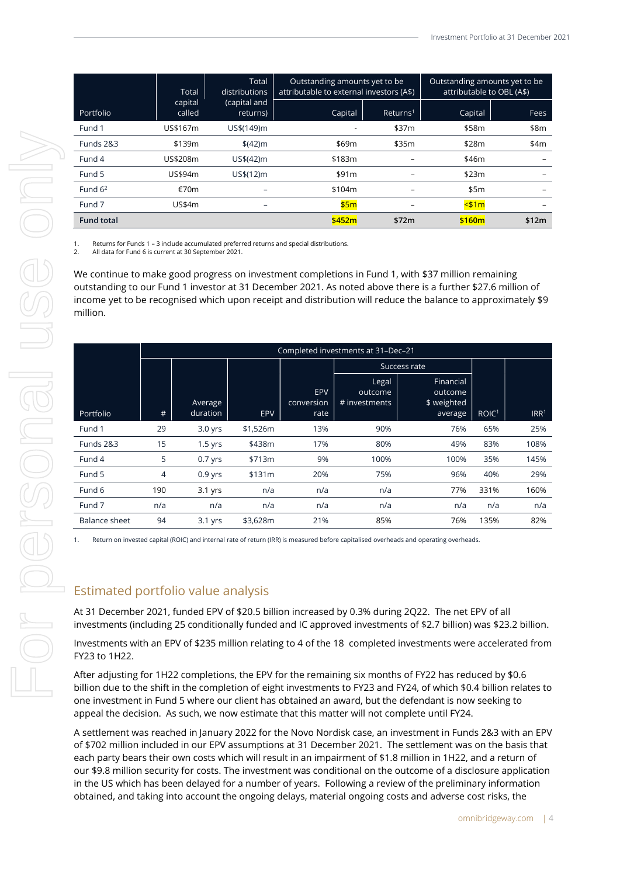|                      | Total             | Total<br>distributions   | Outstanding amounts yet to be<br>attributable to external investors (A\$) |                      | Outstanding amounts yet to be<br>attributable to OBL (A\$) |       |  |
|----------------------|-------------------|--------------------------|---------------------------------------------------------------------------|----------------------|------------------------------------------------------------|-------|--|
| Portfolio            | capital<br>called | (capital and<br>returns) | Capital                                                                   | Returns <sup>1</sup> | Capital                                                    | Fees  |  |
| Fund 1               | US\$167m          | US\$(149)m               |                                                                           | \$37m                | \$58m                                                      | \$8m  |  |
| <b>Funds 2&amp;3</b> | \$139m            | \$(42) m\$               | \$69m                                                                     | \$35m                | \$28m                                                      | \$4m  |  |
| Fund 4               | US\$208m          | US\$(42)m                | \$183m                                                                    |                      | \$46m                                                      |       |  |
| Fund 5               | US\$94m           | US\$(12)m                | \$91m                                                                     |                      | \$23m                                                      |       |  |
| Fund $62$            | €70m              |                          | \$104m                                                                    |                      | \$5m                                                       |       |  |
| Fund 7               | US\$4m            | $\qquad \qquad -$        | \$5m                                                                      |                      | $<$ \$1m                                                   |       |  |
| <b>Fund total</b>    |                   |                          | \$452m                                                                    | \$72m                | \$160m                                                     | \$12m |  |

1. Returns for Funds 1 – 3 include accumulated preferred returns and special distributions.

2. All data for Fund 6 is current at 30 September 2021.

We continue to make good progress on investment completions in Fund 1, with \$37 million remaining outstanding to our Fund 1 investor at 31 December 2021. As noted above there is a further \$27.6 million of income yet to be recognised which upon receipt and distribution will reduce the balance to approximately \$9 million.

|               |     |                     |            |                           |                                   | Success rate                                   |                   |                  |
|---------------|-----|---------------------|------------|---------------------------|-----------------------------------|------------------------------------------------|-------------------|------------------|
| Portfolio     | #   | Average<br>duration | <b>EPV</b> | EPV<br>conversion<br>rate | Legal<br>outcome<br># investments | Financial<br>outcome<br>\$ weighted<br>average | ROIC <sup>1</sup> | IRR <sup>1</sup> |
| Fund 1        | 29  | $3.0$ yrs           | \$1,526m   | 13%                       | 90%                               | 76%                                            | 65%               | 25%              |
| Funds 2&3     | 15  | $1.5$ yrs           | \$438m     | 17%                       | 80%                               | 49%                                            | 83%               | 108%             |
| Fund 4        | 5   | $0.7$ yrs           | \$713m     | 9%                        | 100%                              | 100%                                           | 35%               | 145%             |
| Fund 5        | 4   | $0.9$ yrs           | \$131m     | 20%                       | 75%                               | 96%                                            | 40%               | 29%              |
| Fund 6        | 190 | $3.1$ yrs           | n/a        | n/a                       | n/a                               | 77%                                            | 331%              | 160%             |
| Fund 7        | n/a | n/a                 | n/a        | n/a                       | n/a                               | n/a                                            | n/a               | n/a              |
| Balance sheet | 94  | $3.1$ yrs           | \$3,628m   | 21%                       | 85%                               | 76%                                            | 135%              | 82%              |

Return on invested capital (ROIC) and internal rate of return (IRR) is measured before capitalised overheads and operating overheads

# Estimated portfolio value analysis

At 31 December 2021, funded EPV of \$20.5 billion increased by 0.3% during 2Q22. The net EPV of all investments (including 25 conditionally funded and IC approved investments of \$2.7 billion) was \$23.2 billion.

Investments with an EPV of \$235 million relating to 4 of the 18 completed investments were accelerated from FY23 to 1H22.

After adjusting for 1H22 completions, the EPV for the remaining six months of FY22 has reduced by \$0.6 billion due to the shift in the completion of eight investments to FY23 and FY24, of which \$0.4 billion relates to one investment in Fund 5 where our client has obtained an award, but the defendant is now seeking to appeal the decision. As such, we now estimate that this matter will not complete until FY24.

A settlement was reached in January 2022 for the Novo Nordisk case, an investment in Funds 2&3 with an EPV of \$702 million included in our EPV assumptions at 31 December 2021. The settlement was on the basis that each party bears their own costs which will result in an impairment of \$1.8 million in 1H22, and a return of our \$9.8 million security for costs. The investment was conditional on the outcome of a disclosure application in the US which has been delayed for a number of years. Following a review of the preliminary information obtained, and taking into account the ongoing delays, material ongoing costs and adverse cost risks, the